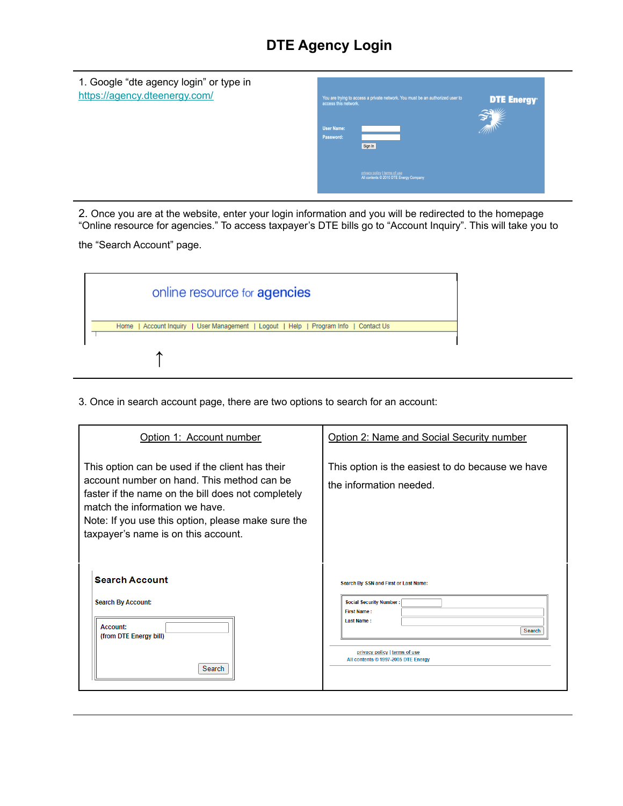## **DTE Agency Login**

| 1. Google "dte agency login" or type in<br>https://agency.dteenergy.com/ | access this network.<br><b>User Name:</b><br>Password: | You are trying to access a private network. You must be an authorized user to<br>Sign In | <b>DTE Energy</b> |
|--------------------------------------------------------------------------|--------------------------------------------------------|------------------------------------------------------------------------------------------|-------------------|
|                                                                          |                                                        | privacy policy   terms of use<br>All contents @ 2010 DTE Energy Company                  |                   |

2. Once you are at the website, enter your login information and you will be redirected to the homepage "Online resource for agencies." To access taxpayer's DTE bills go to "Account Inquiry". This will take you to

the "Search Account" page.

| online resource for <b>agencies</b>                                                  |  |  |
|--------------------------------------------------------------------------------------|--|--|
| Home   Account Inquiry   User Management   Logout   Help   Program Info   Contact Us |  |  |
|                                                                                      |  |  |

3. Once in search account page, there are two options to search for an account:

| Option 1: Account number                                                                                                                                                                                                                                                           | Option 2: Name and Social Security number                                           |  |
|------------------------------------------------------------------------------------------------------------------------------------------------------------------------------------------------------------------------------------------------------------------------------------|-------------------------------------------------------------------------------------|--|
| This option can be used if the client has their<br>account number on hand. This method can be<br>faster if the name on the bill does not completely<br>match the information we have.<br>Note: If you use this option, please make sure the<br>taxpayer's name is on this account. | This option is the easiest to do because we have<br>the information needed.         |  |
| <b>Search Account</b>                                                                                                                                                                                                                                                              | Search By SSN and First or Last Name:                                               |  |
| <b>Search By Account:</b><br>Account:<br>(from DTE Energy bill)                                                                                                                                                                                                                    | <b>Social Security Number:</b><br><b>First Name:</b><br><b>Last Name:</b><br>Search |  |
| Search                                                                                                                                                                                                                                                                             | privacy policy   terms of use<br>All contents © 1997-2005 DTE Energy                |  |